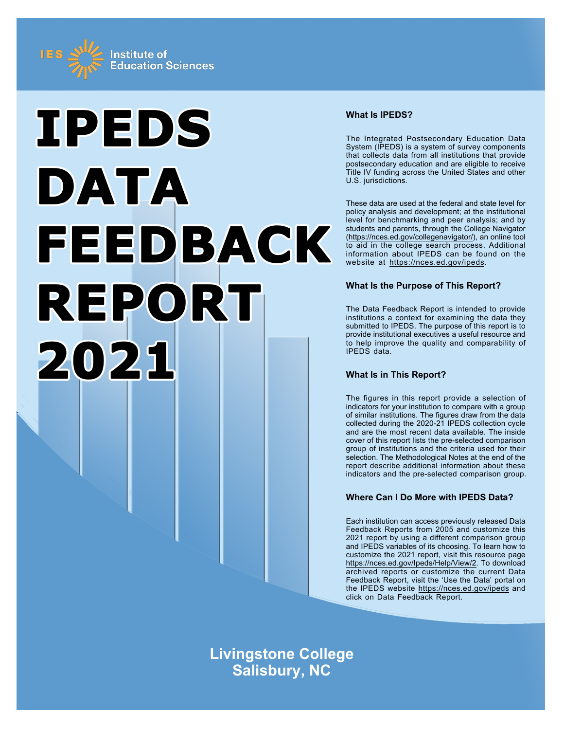



# **What Is IPEDS?**

The Integrated Postsecondary Education Data System (IPEDS) is a system of survey components that collects data from all institutions that provide postsecondary education and are eligible to receive Title IV funding across the United States and other U.S. jurisdictions.

These data are used at the federal and state level for policy analysis and development; at the institutional level for benchmarking and peer analysis; and by students and parents, through the College Navigator ([https://nces.ed.gov/collegenavigator/\)](https://nces.ed.gov/collegenavigator/), an online tool to aid in the college search process. Additional information about IPEDS can be found on the website at<https://nces.ed.gov/ipeds>.

# **What Is the Purpose of This Report?**

The Data Feedback Report is intended to provide institutions a context for examining the data they submitted to IPEDS. The purpose of this report is to provide institutional executives a useful resource and to help improve the quality and comparability of IPEDS data.

# **What Is in This Report?**

The figures in this report provide a selection of indicators for your institution to compare with a group of similar institutions. The figures draw from the data collected during the 2020-21 IPEDS collection cycle and are the most recent data available. The inside cover of this report lists the pre-selected comparison group of institutions and the criteria used for their selection. The Methodological Notes at the end of the report describe additional information about these indicators and the pre-selected comparison group.

# **Where Can I Do More with IPEDS Data?**

Each institution can access previously released Data Feedback Reports from 2005 and customize this 2021 report by using a different comparison group and IPEDS variables of its choosing. To learn how to customize the 2021 report, visit this resource page <https://nces.ed.gov/Ipeds/Help/View/2>. To download archived reports or customize the current Data Feedback Report, visit the 'Use the Data' portal on the IPEDS website<https://nces.ed.gov/ipeds> and click on Data Feedback Report.

**Livingstone College Salisbury, NC**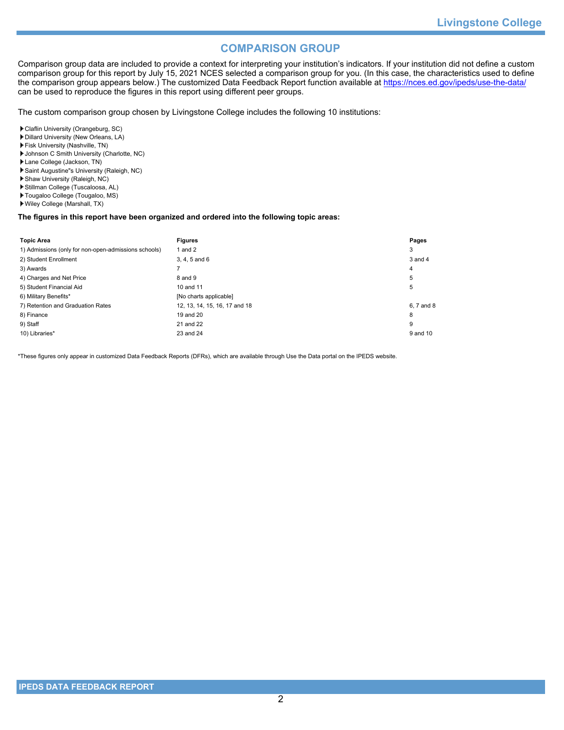# **COMPARISON GROUP**

Comparison group data are included to provide a context for interpreting your institution's indicators. If your institution did not define a custom comparison group for this report by July 15, 2021 NCES selected a comparison group for you. (In this case, the characteristics used to define the comparison group appears below.) The customized Data Feedback Report function available at<https://nces.ed.gov/ipeds/use-the-data/> can be used to reproduce the figures in this report using different peer groups.

The custom comparison group chosen by Livingstone College includes the following 10 institutions:

Claflin University (Orangeburg, SC)

- Dillard University (New Orleans, LA)
- Fisk University (Nashville, TN)
- Johnson C Smith University (Charlotte, NC)
- Lane College (Jackson, TN)
- Saint Augustine"s University (Raleigh, NC)
- Shaw University (Raleigh, NC)
- Stillman College (Tuscaloosa, AL)
- Tougaloo College (Tougaloo, MS)
- Wiley College (Marshall, TX)

# **The figures in this report have been organized and ordered into the following topic areas:**

| <b>Topic Area</b>                                    | <b>Figures</b>                | Pages       |
|------------------------------------------------------|-------------------------------|-------------|
| 1) Admissions (only for non-open-admissions schools) | 1 and $2$                     | 3           |
| 2) Student Enrollment                                | 3, 4, 5 and 6                 | $3$ and $4$ |
| 3) Awards                                            |                               | 4           |
| 4) Charges and Net Price                             | 8 and 9                       | 5           |
| 5) Student Financial Aid                             | 10 and 11                     | 5           |
| 6) Military Benefits*                                | [No charts applicable]        |             |
| 7) Retention and Graduation Rates                    | 12, 13, 14, 15, 16, 17 and 18 | 6, 7 and 8  |
| 8) Finance                                           | 19 and 20                     | 8           |
| 9) Staff                                             | 21 and 22                     | 9           |
| 10) Libraries*                                       | 23 and 24                     | 9 and 10    |

\*These figures only appear in customized Data Feedback Reports (DFRs), which are available through Use the Data portal on the IPEDS website.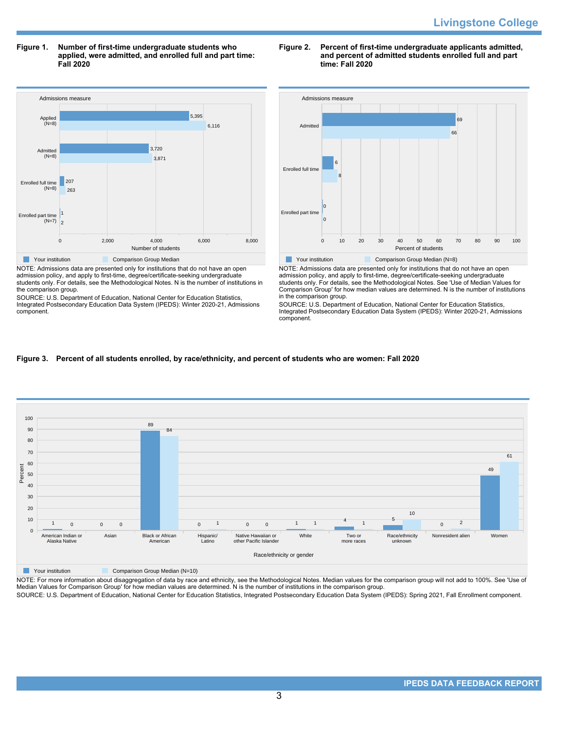**Figure 1. Number of first-time undergraduate students who applied, were admitted, and enrolled full and part time: Fall 2020**



NOTE: Admissions data are presented only for institutions that do not have an open admission policy, and apply to first-time, degree/certificate-seeking undergraduate students only. For details, see the Methodological Notes. N is the number of institutions in the comparison group.

SOURCE: U.S. Department of Education, National Center for Education Statistics, Integrated Postsecondary Education Data System (IPEDS): Winter 2020-21, Admissions component.

# **Figure 2. Percent of first-time undergraduate applicants admitted, and percent of admitted students enrolled full and part time: Fall 2020**



NOTE: Admissions data are presented only for institutions that do not have an open admission policy, and apply to first-time, degree/certificate-seeking undergraduate students only. For details, see the Methodological Notes. See 'Use of Median Values for Comparison Group' for how median values are determined. N is the number of institutions in the comparison group.

SOURCE: U.S. Department of Education, National Center for Education Statistics, Integrated Postsecondary Education Data System (IPEDS): Winter 2020-21, Admissions component.

# **Figure 3. Percent of all students enrolled, by race/ethnicity, and percent of students who are women: Fall 2020**



**The Comparison Group Median (N=10)** Comparison Group Median (N=10)

NOTE: For more information about disaggregation of data by race and ethnicity, see the Methodological Notes. Median values for the comparison group will not add to 100%. See 'Use of<br>Median Values for Comparison Group' for

SOURCE: U.S. Department of Education, National Center for Education Statistics, Integrated Postsecondary Education Data System (IPEDS): Spring 2021, Fall Enrollment component.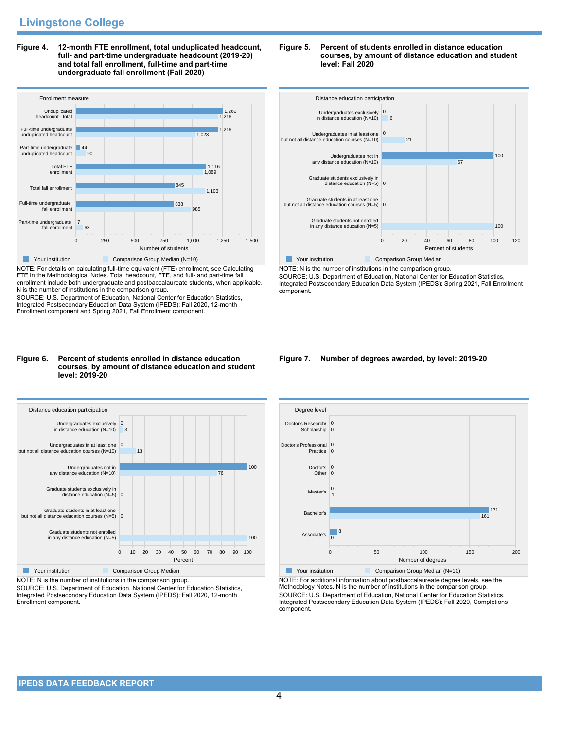**Figure 4. 12-month FTE enrollment, total unduplicated headcount, full- and part-time undergraduate headcount (2019-20) and total fall enrollment, full-time and part-time undergraduate fall enrollment (Fall 2020)**



NOTE: For details on calculating full-time equivalent (FTE) enrollment, see Calculating FTE in the Methodological Notes. Total headcount, FTE, and full- and part-time fall enrollment include both undergraduate and postbaccalaureate students, when applicable. N is the number of institutions in the comparison group.

SOURCE: U.S. Department of Education, National Center for Education Statistics, Integrated Postsecondary Education Data System (IPEDS): Fall 2020, 12-month Enrollment component and Spring 2021, Fall Enrollment component.

#### **Figure 6. Percent of students enrolled in distance education courses, by amount of distance education and student level: 2019-20**



NOTE: N is the number of institutions in the comparison group.

SOURCE: U.S. Department of Education, National Center for Education Statistics, Integrated Postsecondary Education Data System (IPEDS): Fall 2020, 12-month Enrollment component.





NOTE: N is the number of institutions in the comparison group. SOURCE: U.S. Department of Education, National Center for Education Statistics, Integrated Postsecondary Education Data System (IPEDS): Spring 2021, Fall Enrollment component.

#### **Figure 7. Number of degrees awarded, by level: 2019-20**



NOTE: For additional information about postbaccalaureate degree levels, see the Methodology Notes. N is the number of institutions in the comparison group. SOURCE: U.S. Department of Education, National Center for Education Statistics, Integrated Postsecondary Education Data System (IPEDS): Fall 2020, Completions component.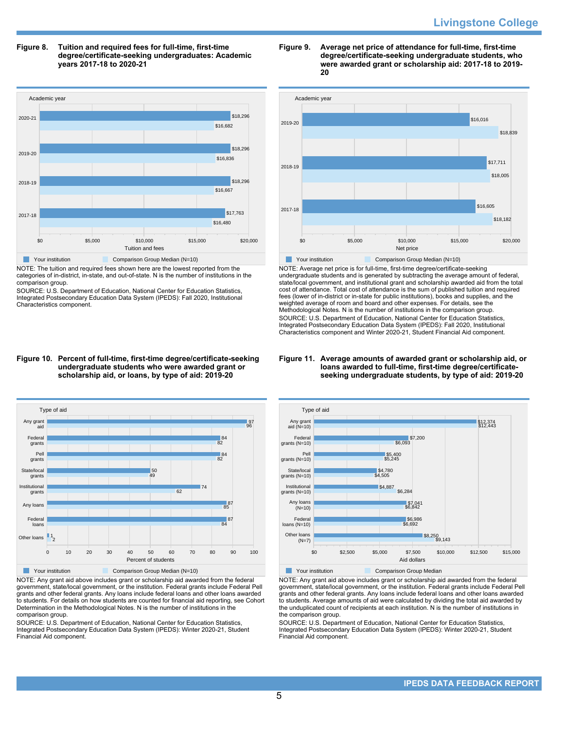**Figure 8. Tuition and required fees for full-time, first-time degree/certificate-seeking undergraduates: Academic years 2017-18 to 2020-21**



NOTE: The tuition and required fees shown here are the lowest reported from the categories of in-district, in-state, and out-of-state. N is the number of institutions in the comparison group.

SOURCE: U.S. Department of Education, National Center for Education Statistics, Integrated Postsecondary Education Data System (IPEDS): Fall 2020, Institutional Characteristics component.





NOTE: Average net price is for full-time, first-time degree/certificate-seeking undergraduate students and is generated by subtracting the average amount of federal, state/local government, and institutional grant and scholarship awarded aid from the total cost of attendance. Total cost of attendance is the sum of published tuition and required fees (lower of in-district or in-state for public institutions), books and supplies, and the weighted average of room and board and other expenses. For details, see the Methodological Notes. N is the number of institutions in the comparison group. SOURCE: U.S. Department of Education, National Center for Education Statistics, Integrated Postsecondary Education Data System (IPEDS): Fall 2020, Institutional Characteristics component and Winter 2020-21, Student Financial Aid component.

#### **Figure 11. Average amounts of awarded grant or scholarship aid, or loans awarded to full-time, first-time degree/certificateseeking undergraduate students, by type of aid: 2019-20**



NOTE: Any grant aid above includes grant or scholarship aid awarded from the federal government, state/local government, or the institution. Federal grants include Federal Pell grants and other federal grants. Any loans include federal loans and other loans awarded to students. For details on how students are counted for financial aid reporting, see Cohort Determination in the Methodological Notes. N is the number of institutions in the comparison group.

SOURCE: U.S. Department of Education, National Center for Education Statistics, Integrated Postsecondary Education Data System (IPEDS): Winter 2020-21, Student Financial Aid component.



NOTE: Any grant aid above includes grant or scholarship aid awarded from the federal government, state/local government, or the institution. Federal grants include Federal Pell grants and other federal grants. Any loans include federal loans and other loans awarded to students. Average amounts of aid were calculated by dividing the total aid awarded by the unduplicated count of recipients at each institution. N is the number of institutions in the comparison group.

SOURCE: U.S. Department of Education, National Center for Education Statistics, Integrated Postsecondary Education Data System (IPEDS): Winter 2020-21, Student Financial Aid component.

#### **Figure 10. Percent of full-time, first-time degree/certificate-seeking undergraduate students who were awarded grant or scholarship aid, or loans, by type of aid: 2019-20**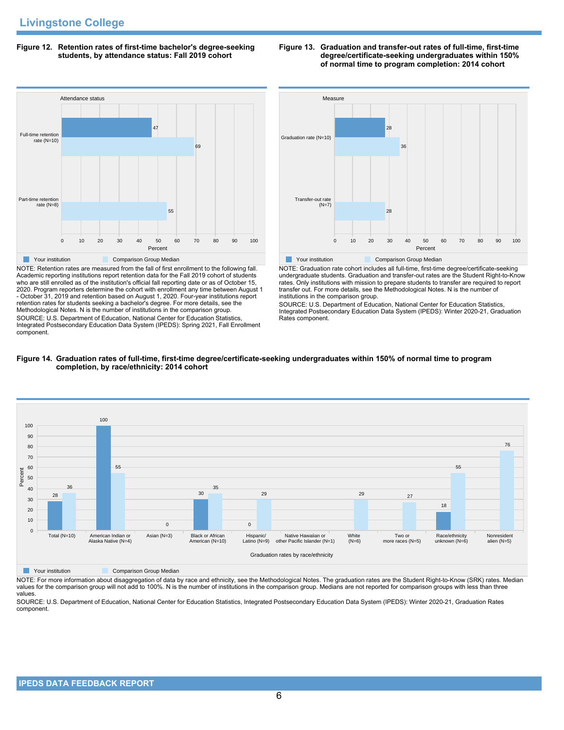# **Figure 12. Retention rates of first-time bachelor's degree-seeking students, by attendance status: Fall 2019 cohort**



NOTE: Retention rates are measured from the fall of first enrollment to the following fall. Academic reporting institutions report retention data for the Fall 2019 cohort of students who are still enrolled as of the institution's official fall reporting date or as of October 15, 2020. Program reporters determine the cohort with enrollment any time between August 1 - October 31, 2019 and retention based on August 1, 2020. Four-year institutions report retention rates for students seeking a bachelor's degree. For more details, see the Methodological Notes. N is the number of institutions in the comparison group. SOURCE: U.S. Department of Education, National Center for Education Statistics, Integrated Postsecondary Education Data System (IPEDS): Spring 2021, Fall Enrollment component.



**Figure 13. Graduation and transfer-out rates of full-time, first-time**

**degree/certificate-seeking undergraduates within 150% of normal time to program completion: 2014 cohort**

NOTE: Graduation rate cohort includes all full-time, first-time degree/certificate-seeking undergraduate students. Graduation and transfer-out rates are the Student Right-to-Know rates. Only institutions with mission to prepare students to transfer are required to report transfer out. For more details, see the Methodological Notes. N is the number of institutions in the comparison group.

SOURCE: U.S. Department of Education, National Center for Education Statistics, Integrated Postsecondary Education Data System (IPEDS): Winter 2020-21, Graduation Rates component.





**The Comparison Group Median** Comparison Group Median

NOTE: For more information about disaggregation of data by race and ethnicity, see the Methodological Notes. The graduation rates are the Student Right-to-Know (SRK) rates. Median values for the comparison group will not add to 100%. N is the number of institutions in the comparison group. Medians are not reported for comparison groups with less than three values.

SOURCE: U.S. Department of Education, National Center for Education Statistics, Integrated Postsecondary Education Data System (IPEDS): Winter 2020-21, Graduation Rates component.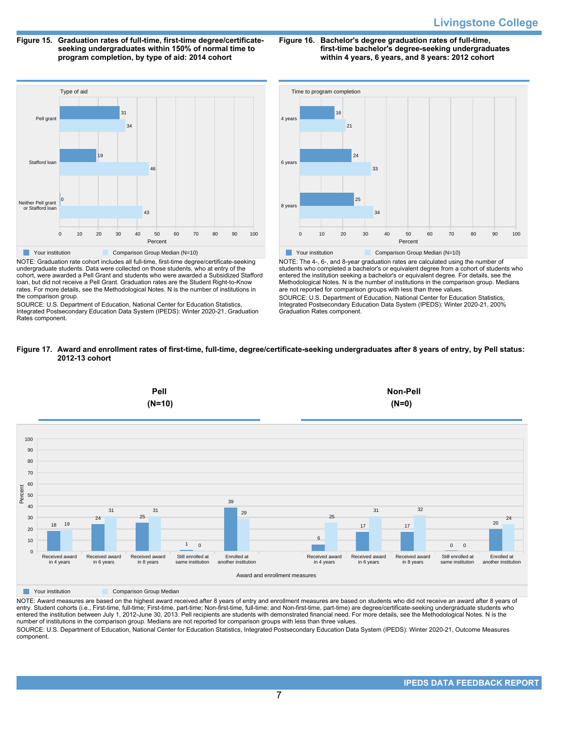**Figure 15. Graduation rates of full-time, first-time degree/certificateseeking undergraduates within 150% of normal time to program completion, by type of aid: 2014 cohort**

**Figure 16. Bachelor's degree graduation rates of full-time, first-time bachelor's degree-seeking undergraduates within 4 years, 6 years, and 8 years: 2012 cohort**



NOTE: Graduation rate cohort includes all full-time, first-time degree/certificate-seeking undergraduate students. Data were collected on those students, who at entry of the cohort, were awarded a Pell Grant and students who were awarded a Subsidized Stafford loan, but did not receive a Pell Grant. Graduation rates are the Student Right-to-Know rates. For more details, see the Methodological Notes. N is the number of institutions in the comparison group.

SOURCE: U.S. Department of Education, National Center for Education Statistics, Integrated Postsecondary Education Data System (IPEDS): Winter 2020-21, Graduation Rates component.



NOTE: The 4-, 6-, and 8-year graduation rates are calculated using the number of students who completed a bachelor's or equivalent degree from a cohort of students who entered the institution seeking a bachelor's or equivalent degree. For details, see the Methodological Notes. N is the number of institutions in the comparison group. Medians are not reported for comparison groups with less than three values. SOURCE: U.S. Department of Education, National Center for Education Statistics, Integrated Postsecondary Education Data System (IPEDS): Winter 2020-21, 200% Graduation Rates component.





**The Comparison Group Median** 

NOTE: Award measures are based on the highest award received after 8 years of entry and enrollment measures are based on students who did not receive an award after 8 years of entry. Student cohorts (i.e., First-time, full-time; First-time, part-time; Non-first-time, full-time; and Non-first-time, part-time) are degree/certificate-seeking undergraduate students who entered the institution between July 1, 2012-June 30, 2013. Pell recipients are students with demonstrated financial need. For more details, see the Methodological Notes. N is the number of institutions in the comparison group. Medians are not reported for comparison groups with less than three values.

SOURCE: U.S. Department of Education, National Center for Education Statistics, Integrated Postsecondary Education Data System (IPEDS): Winter 2020-21, Outcome Measures component.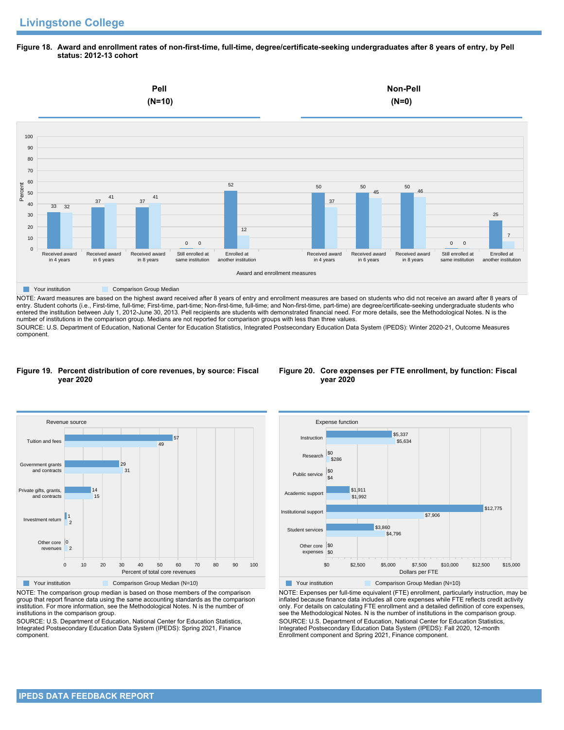**Figure 18. Award and enrollment rates of non-first-time, full-time, degree/certificate-seeking undergraduates after 8 years of entry, by Pell status: 2012-13 cohort**



NOTE: Award measures are based on the highest award received after 8 years of entry and enrollment measures are based on students who did not receive an award after 8 years of entry. Student cohorts (i.e., First-time, full-time; First-time, part-time; Non-first-time, full-time; and Non-first-time, part-time) are degree/certificate-seeking undergraduate students who entered the institution between July 1, 2012-June 30, 2013. Pell recipients are students with demonstrated financial need. For more details, see the Methodological Notes. N is the number of institutions in the comparison group. Medians are not reported for comparison groups with less than three values. SOURCE: U.S. Department of Education, National Center for Education Statistics, Integrated Postsecondary Education Data System (IPEDS): Winter 2020-21, Outcome Measures component.

#### **Figure 19. Percent distribution of core revenues, by source: Fiscal year 2020**





NOTE: The comparison group median is based on those members of the comparison group that report finance data using the same accounting standards as the comparison institution. For more information, see the Methodological Notes. N is the number of institutions in the comparison group.

SOURCE: U.S. Department of Education, National Center for Education Statistics, Integrated Postsecondary Education Data System (IPEDS): Spring 2021, Finance component.



NOTE: Expenses per full-time equivalent (FTE) enrollment, particularly instruction, may be inflated because finance data includes all core expenses while FTE reflects credit activity only. For details on calculating FTE enrollment and a detailed definition of core expenses, see the Methodological Notes. N is the number of institutions in the comparison group. SOURCE: U.S. Department of Education, National Center for Education Statistics, Integrated Postsecondary Education Data System (IPEDS): Fall 2020, 12-month Enrollment component and Spring 2021, Finance component.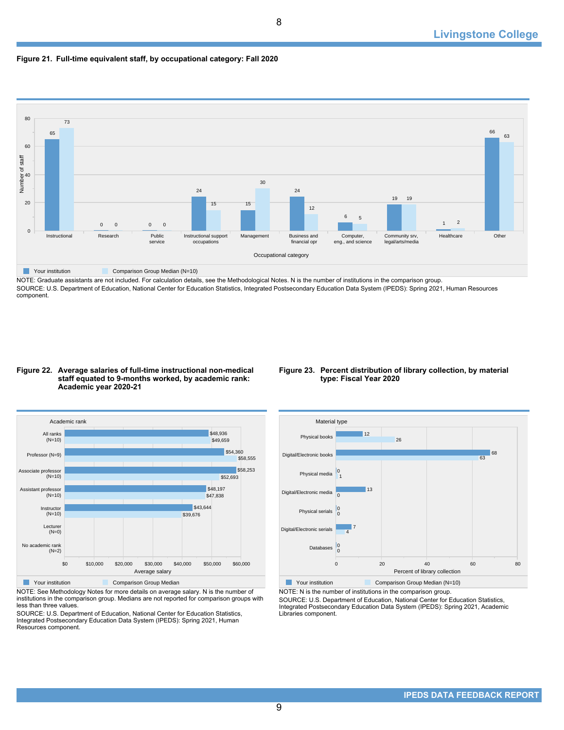# **Figure 21. Full-time equivalent staff, by occupational category: Fall 2020**



NOTE: Graduate assistants are not included. For calculation details, see the Methodological Notes. N is the number of institutions in the comparison group. SOURCE: U.S. Department of Education, National Center for Education Statistics, Integrated Postsecondary Education Data System (IPEDS): Spring 2021, Human Resources component.

9

#### **Figure 22. Average salaries of full-time instructional non-medical staff equated to 9-months worked, by academic rank: Academic year 2020-21**

# **Figure 23. Percent distribution of library collection, by material type: Fiscal Year 2020**



NOTE: See Methodology Notes for more details on average salary. N is the number of institutions in the comparison group. Medians are not reported for comparison groups with less than three values.

SOURCE: U.S. Department of Education, National Center for Education Statistics, Integrated Postsecondary Education Data System (IPEDS): Spring 2021, Human Resources component.



NOTE: N is the number of institutions in the comparison group.

SOURCE: U.S. Department of Education, National Center for Education Statistics, Integrated Postsecondary Education Data System (IPEDS): Spring 2021, Academic Libraries component.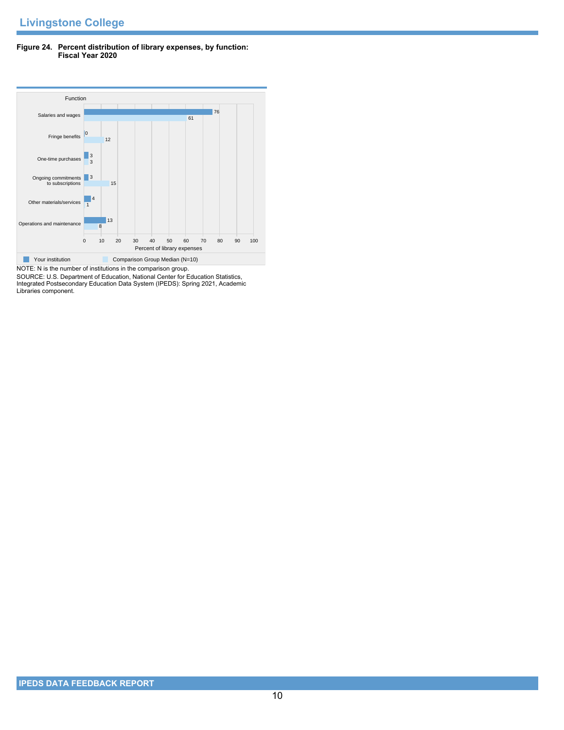# **Figure 24. Percent distribution of library expenses, by function: Fiscal Year 2020**



SOURCE: U.S. Department of Education, National Center for Education Statistics, Integrated Postsecondary Education Data System (IPEDS): Spring 2021, Academic Libraries component.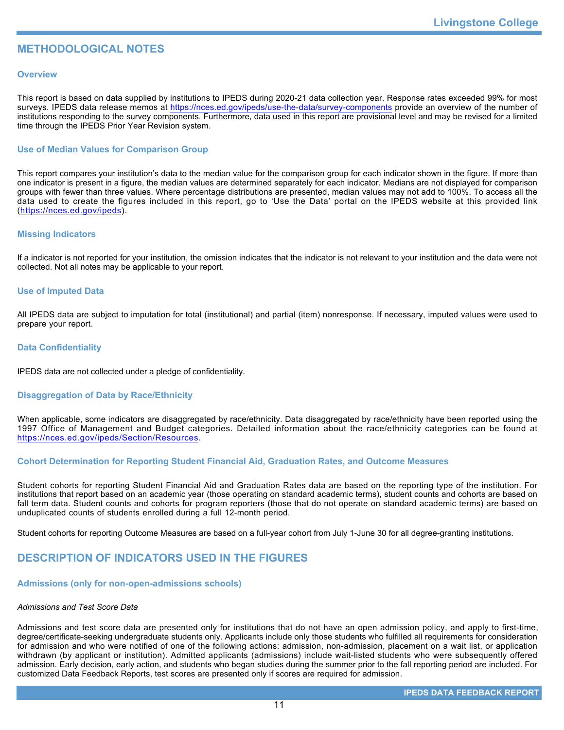# **METHODOLOGICAL NOTES**

# **Overview**

This report is based on data supplied by institutions to IPEDS during 2020-21 data collection year. Response rates exceeded 99% for most surveys. IPEDS data release memos at <https://nces.ed.gov/ipeds/use-the-data/survey-components> provide an overview of the number of institutions responding to the survey components. Furthermore, data used in this report are provisional level and may be revised for a limited time through the IPEDS Prior Year Revision system.

# **Use of Median Values for Comparison Group**

This report compares your institution's data to the median value for the comparison group for each indicator shown in the figure. If more than one indicator is present in a figure, the median values are determined separately for each indicator. Medians are not displayed for comparison groups with fewer than three values. Where percentage distributions are presented, median values may not add to 100%. To access all the data used to create the figures included in this report, go to 'Use the Data' portal on the IPEDS website at this provided link (<https://nces.ed.gov/ipeds>).

# **Missing Indicators**

If a indicator is not reported for your institution, the omission indicates that the indicator is not relevant to your institution and the data were not collected. Not all notes may be applicable to your report.

# **Use of Imputed Data**

All IPEDS data are subject to imputation for total (institutional) and partial (item) nonresponse. If necessary, imputed values were used to prepare your report.

# **Data Confidentiality**

IPEDS data are not collected under a pledge of confidentiality.

# **Disaggregation of Data by Race/Ethnicity**

When applicable, some indicators are disaggregated by race/ethnicity. Data disaggregated by race/ethnicity have been reported using the 1997 Office of Management and Budget categories. Detailed information about the race/ethnicity categories can be found at <https://nces.ed.gov/ipeds/Section/Resources>.

# **Cohort Determination for Reporting Student Financial Aid, Graduation Rates, and Outcome Measures**

Student cohorts for reporting Student Financial Aid and Graduation Rates data are based on the reporting type of the institution. For institutions that report based on an academic year (those operating on standard academic terms), student counts and cohorts are based on fall term data. Student counts and cohorts for program reporters (those that do not operate on standard academic terms) are based on unduplicated counts of students enrolled during a full 12-month period.

Student cohorts for reporting Outcome Measures are based on a full-year cohort from July 1-June 30 for all degree-granting institutions.

# **DESCRIPTION OF INDICATORS USED IN THE FIGURES**

### **Admissions (only for non-open-admissions schools)**

### *Admissions and Test Score Data*

Admissions and test score data are presented only for institutions that do not have an open admission policy, and apply to first-time, degree/certificate-seeking undergraduate students only. Applicants include only those students who fulfilled all requirements for consideration for admission and who were notified of one of the following actions: admission, non-admission, placement on a wait list, or application withdrawn (by applicant or institution). Admitted applicants (admissions) include wait-listed students who were subsequently offered admission. Early decision, early action, and students who began studies during the summer prior to the fall reporting period are included. For customized Data Feedback Reports, test scores are presented only if scores are required for admission.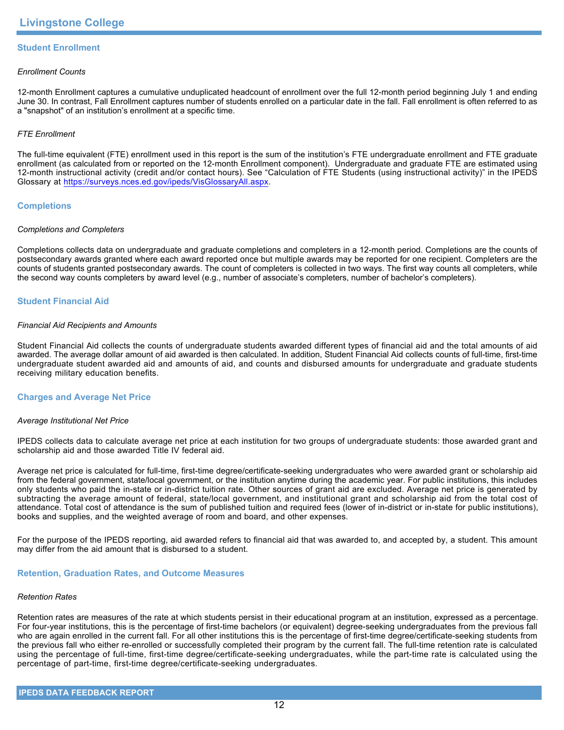# **Student Enrollment**

## *Enrollment Counts*

12-month Enrollment captures a cumulative unduplicated headcount of enrollment over the full 12-month period beginning July 1 and ending June 30. In contrast, Fall Enrollment captures number of students enrolled on a particular date in the fall. Fall enrollment is often referred to as a "snapshot" of an institution's enrollment at a specific time.

# *FTE Enrollment*

The full-time equivalent (FTE) enrollment used in this report is the sum of the institution's FTE undergraduate enrollment and FTE graduate enrollment (as calculated from or reported on the 12-month Enrollment component). Undergraduate and graduate FTE are estimated using 12-month instructional activity (credit and/or contact hours). See "Calculation of FTE Students (using instructional activity)" in the IPEDS Glossary at <https://surveys.nces.ed.gov/ipeds/VisGlossaryAll.aspx>.

# **Completions**

## *Completions and Completers*

Completions collects data on undergraduate and graduate completions and completers in a 12-month period. Completions are the counts of postsecondary awards granted where each award reported once but multiple awards may be reported for one recipient. Completers are the counts of students granted postsecondary awards. The count of completers is collected in two ways. The first way counts all completers, while the second way counts completers by award level (e.g., number of associate's completers, number of bachelor's completers).

# **Student Financial Aid**

#### *Financial Aid Recipients and Amounts*

Student Financial Aid collects the counts of undergraduate students awarded different types of financial aid and the total amounts of aid awarded. The average dollar amount of aid awarded is then calculated. In addition, Student Financial Aid collects counts of full-time, first-time undergraduate student awarded aid and amounts of aid, and counts and disbursed amounts for undergraduate and graduate students receiving military education benefits.

### **Charges and Average Net Price**

### *Average Institutional Net Price*

IPEDS collects data to calculate average net price at each institution for two groups of undergraduate students: those awarded grant and scholarship aid and those awarded Title IV federal aid.

Average net price is calculated for full-time, first-time degree/certificate-seeking undergraduates who were awarded grant or scholarship aid from the federal government, state/local government, or the institution anytime during the academic year. For public institutions, this includes only students who paid the in-state or in-district tuition rate. Other sources of grant aid are excluded. Average net price is generated by subtracting the average amount of federal, state/local government, and institutional grant and scholarship aid from the total cost of attendance. Total cost of attendance is the sum of published tuition and required fees (lower of in-district or in-state for public institutions), books and supplies, and the weighted average of room and board, and other expenses.

For the purpose of the IPEDS reporting, aid awarded refers to financial aid that was awarded to, and accepted by, a student. This amount may differ from the aid amount that is disbursed to a student.

### **Retention, Graduation Rates, and Outcome Measures**

### *Retention Rates*

Retention rates are measures of the rate at which students persist in their educational program at an institution, expressed as a percentage. For four-year institutions, this is the percentage of first-time bachelors (or equivalent) degree-seeking undergraduates from the previous fall who are again enrolled in the current fall. For all other institutions this is the percentage of first-time degree/certificate-seeking students from the previous fall who either re-enrolled or successfully completed their program by the current fall. The full-time retention rate is calculated using the percentage of full-time, first-time degree/certificate-seeking undergraduates, while the part-time rate is calculated using the percentage of part-time, first-time degree/certificate-seeking undergraduates.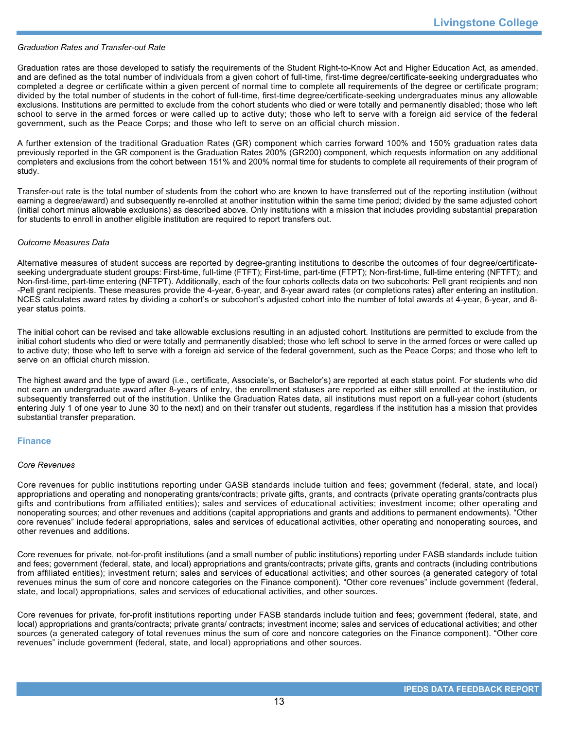#### *Graduation Rates and Transfer-out Rate*

Graduation rates are those developed to satisfy the requirements of the Student Right-to-Know Act and Higher Education Act, as amended, and are defined as the total number of individuals from a given cohort of full-time, first-time degree/certificate-seeking undergraduates who completed a degree or certificate within a given percent of normal time to complete all requirements of the degree or certificate program; divided by the total number of students in the cohort of full-time, first-time degree/certificate-seeking undergraduates minus any allowable exclusions. Institutions are permitted to exclude from the cohort students who died or were totally and permanently disabled; those who left school to serve in the armed forces or were called up to active duty; those who left to serve with a foreign aid service of the federal government, such as the Peace Corps; and those who left to serve on an official church mission.

A further extension of the traditional Graduation Rates (GR) component which carries forward 100% and 150% graduation rates data previously reported in the GR component is the Graduation Rates 200% (GR200) component, which requests information on any additional completers and exclusions from the cohort between 151% and 200% normal time for students to complete all requirements of their program of study.

Transfer-out rate is the total number of students from the cohort who are known to have transferred out of the reporting institution (without earning a degree/award) and subsequently re-enrolled at another institution within the same time period; divided by the same adjusted cohort (initial cohort minus allowable exclusions) as described above. Only institutions with a mission that includes providing substantial preparation for students to enroll in another eligible institution are required to report transfers out.

#### *Outcome Measures Data*

Alternative measures of student success are reported by degree-granting institutions to describe the outcomes of four degree/certificateseeking undergraduate student groups: First-time, full-time (FTFT); First-time, part-time (FTPT); Non-first-time, full-time entering (NFTFT); and Non-first-time, part-time entering (NFTPT). Additionally, each of the four cohorts collects data on two subcohorts: Pell grant recipients and non -Pell grant recipients. These measures provide the 4-year, 6-year, and 8-year award rates (or completions rates) after entering an institution. NCES calculates award rates by dividing a cohort's or subcohort's adjusted cohort into the number of total awards at 4-year, 6-year, and 8year status points.

The initial cohort can be revised and take allowable exclusions resulting in an adjusted cohort. Institutions are permitted to exclude from the initial cohort students who died or were totally and permanently disabled; those who left school to serve in the armed forces or were called up to active duty; those who left to serve with a foreign aid service of the federal government, such as the Peace Corps; and those who left to serve on an official church mission.

The highest award and the type of award (i.e., certificate, Associate's, or Bachelor's) are reported at each status point. For students who did not earn an undergraduate award after 8-years of entry, the enrollment statuses are reported as either still enrolled at the institution, or subsequently transferred out of the institution. Unlike the Graduation Rates data, all institutions must report on a full-year cohort (students entering July 1 of one year to June 30 to the next) and on their transfer out students, regardless if the institution has a mission that provides substantial transfer preparation.

### **Finance**

#### *Core Revenues*

Core revenues for public institutions reporting under GASB standards include tuition and fees; government (federal, state, and local) appropriations and operating and nonoperating grants/contracts; private gifts, grants, and contracts (private operating grants/contracts plus gifts and contributions from affiliated entities); sales and services of educational activities; investment income; other operating and nonoperating sources; and other revenues and additions (capital appropriations and grants and additions to permanent endowments). "Other core revenues" include federal appropriations, sales and services of educational activities, other operating and nonoperating sources, and other revenues and additions.

Core revenues for private, not-for-profit institutions (and a small number of public institutions) reporting under FASB standards include tuition and fees; government (federal, state, and local) appropriations and grants/contracts; private gifts, grants and contracts (including contributions from affiliated entities); investment return; sales and services of educational activities; and other sources (a generated category of total revenues minus the sum of core and noncore categories on the Finance component). "Other core revenues" include government (federal, state, and local) appropriations, sales and services of educational activities, and other sources.

Core revenues for private, for-profit institutions reporting under FASB standards include tuition and fees; government (federal, state, and local) appropriations and grants/contracts; private grants/ contracts; investment income; sales and services of educational activities; and other sources (a generated category of total revenues minus the sum of core and noncore categories on the Finance component). "Other core revenues" include government (federal, state, and local) appropriations and other sources.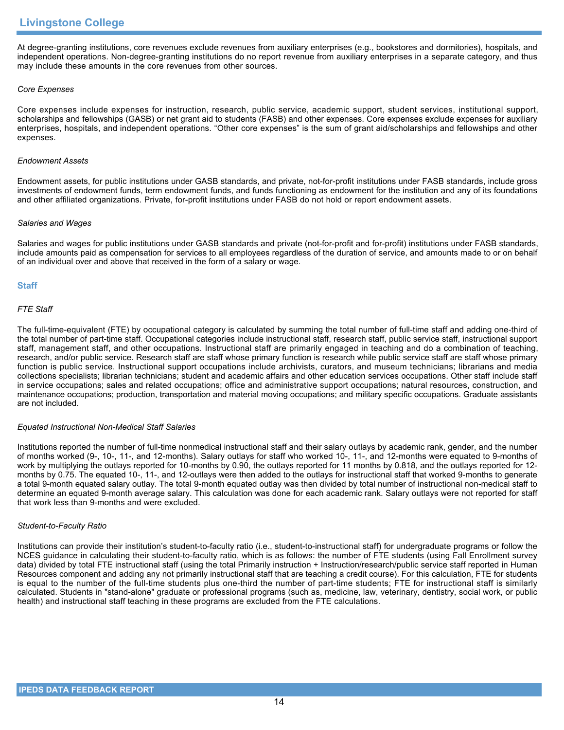At degree-granting institutions, core revenues exclude revenues from auxiliary enterprises (e.g., bookstores and dormitories), hospitals, and independent operations. Non-degree-granting institutions do no report revenue from auxiliary enterprises in a separate category, and thus may include these amounts in the core revenues from other sources.

# *Core Expenses*

Core expenses include expenses for instruction, research, public service, academic support, student services, institutional support, scholarships and fellowships (GASB) or net grant aid to students (FASB) and other expenses. Core expenses exclude expenses for auxiliary enterprises, hospitals, and independent operations. "Other core expenses" is the sum of grant aid/scholarships and fellowships and other expenses.

### *Endowment Assets*

Endowment assets, for public institutions under GASB standards, and private, not-for-profit institutions under FASB standards, include gross investments of endowment funds, term endowment funds, and funds functioning as endowment for the institution and any of its foundations and other affiliated organizations. Private, for-profit institutions under FASB do not hold or report endowment assets.

### *Salaries and Wages*

Salaries and wages for public institutions under GASB standards and private (not-for-profit and for-profit) institutions under FASB standards, include amounts paid as compensation for services to all employees regardless of the duration of service, and amounts made to or on behalf of an individual over and above that received in the form of a salary or wage.

# **Staff**

# *FTE Staff*

The full-time-equivalent (FTE) by occupational category is calculated by summing the total number of full-time staff and adding one-third of the total number of part-time staff. Occupational categories include instructional staff, research staff, public service staff, instructional support staff, management staff, and other occupations. Instructional staff are primarily engaged in teaching and do a combination of teaching, research, and/or public service. Research staff are staff whose primary function is research while public service staff are staff whose primary function is public service. Instructional support occupations include archivists, curators, and museum technicians; librarians and media collections specialists; librarian technicians; student and academic affairs and other education services occupations. Other staff include staff in service occupations; sales and related occupations; office and administrative support occupations; natural resources, construction, and maintenance occupations; production, transportation and material moving occupations; and military specific occupations. Graduate assistants are not included.

### *Equated Instructional Non-Medical Staff Salaries*

Institutions reported the number of full-time nonmedical instructional staff and their salary outlays by academic rank, gender, and the number of months worked (9-, 10-, 11-, and 12-months). Salary outlays for staff who worked 10-, 11-, and 12-months were equated to 9-months of work by multiplying the outlays reported for 10-months by 0.90, the outlays reported for 11 months by 0.818, and the outlays reported for 12 months by 0.75. The equated 10-, 11-, and 12-outlays were then added to the outlays for instructional staff that worked 9-months to generate a total 9-month equated salary outlay. The total 9-month equated outlay was then divided by total number of instructional non-medical staff to determine an equated 9-month average salary. This calculation was done for each academic rank. Salary outlays were not reported for staff that work less than 9-months and were excluded.

### *Student-to-Faculty Ratio*

Institutions can provide their institution's student-to-faculty ratio (i.e., student-to-instructional staff) for undergraduate programs or follow the NCES guidance in calculating their student-to-faculty ratio, which is as follows: the number of FTE students (using Fall Enrollment survey data) divided by total FTE instructional staff (using the total Primarily instruction + Instruction/research/public service staff reported in Human Resources component and adding any not primarily instructional staff that are teaching a credit course). For this calculation, FTE for students is equal to the number of the full-time students plus one-third the number of part-time students; FTE for instructional staff is similarly calculated. Students in "stand-alone" graduate or professional programs (such as, medicine, law, veterinary, dentistry, social work, or public health) and instructional staff teaching in these programs are excluded from the FTE calculations.